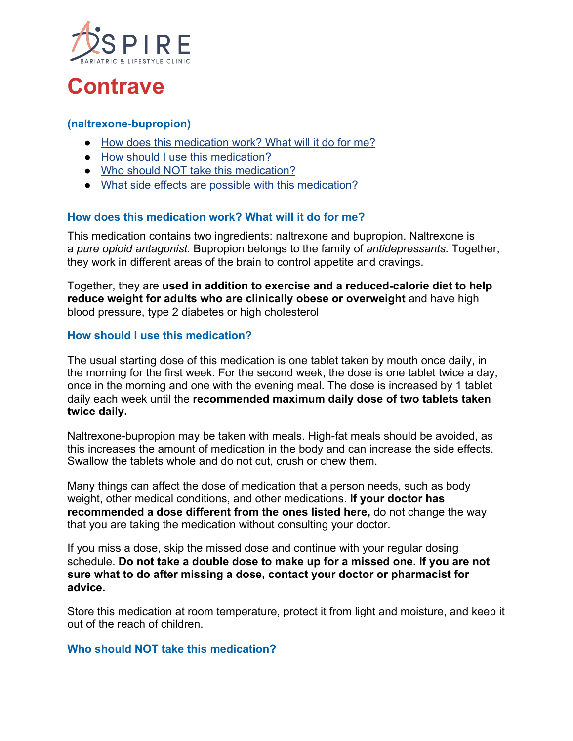

# **Contrave**

#### **(naltrexone-bupropion)**

- [How does this medication work? What will it do for me?](https://www.costcopharmacy.ca/HealthInformationDrug.aspx?id=9649#Itemd_Indication)
- [How should I use this medication?](https://www.costcopharmacy.ca/HealthInformationDrug.aspx?id=9649#Itemd_Dosage)
- [Who should NOT take this medication?](https://www.costcopharmacy.ca/HealthInformationDrug.aspx?id=9649#Itemd_ContraIndications)
- [What side effects are possible with this medication?](https://www.costcopharmacy.ca/HealthInformationDrug.aspx?id=9649#Itemd_AdverseEffects)

## **How does this medication work? What will it do for me?**

This medication contains two ingredients: naltrexone and bupropion. Naltrexone is a *pure opioid antagonist.* Bupropion belongs to the family of *antidepressants.* Together, they work in different areas of the brain to control appetite and cravings.

Together, they are **used in addition to exercise and a reduced-calorie diet to help reduce weight for adults who are clinically obese or overweight** and have high blood pressure, type 2 diabetes or high cholesterol

## **How should I use this medication?**

The usual starting dose of this medication is one tablet taken by mouth once daily, in the morning for the first week. For the second week, the dose is one tablet twice a day, once in the morning and one with the evening meal. The dose is increased by 1 tablet daily each week until the **recommended maximum daily dose of two tablets taken twice daily.**

Naltrexone-bupropion may be taken with meals. High-fat meals should be avoided, as this increases the amount of medication in the body and can increase the side effects. Swallow the tablets whole and do not cut, crush or chew them.

Many things can affect the dose of medication that a person needs, such as body weight, other medical conditions, and other medications. **If your doctor has recommended a dose different from the ones listed here,** do not change the way that you are taking the medication without consulting your doctor.

If you miss a dose, skip the missed dose and continue with your regular dosing schedule. **Do not take a double dose to make up for a missed one. If you are not sure what to do after missing a dose, contact your doctor or pharmacist for advice.**

Store this medication at room temperature, protect it from light and moisture, and keep it out of the reach of children.

#### **Who should NOT take this medication?**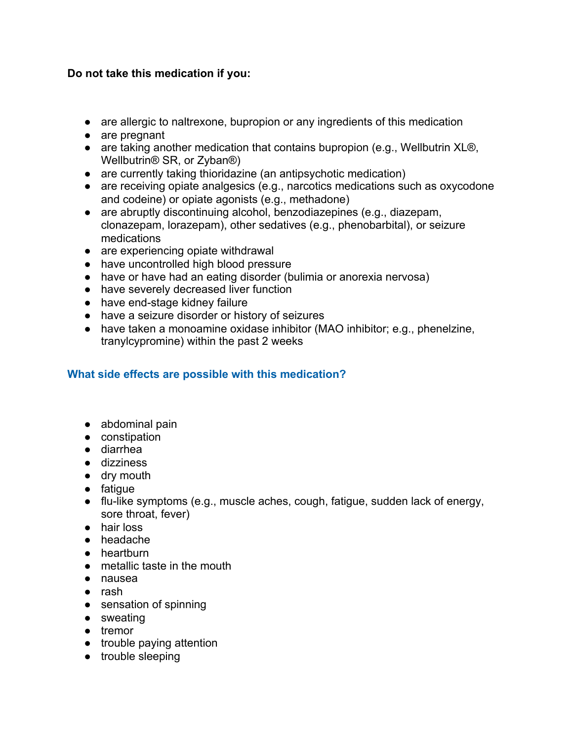# **Do not take this medication if you:**

- are allergic to naltrexone, bupropion or any ingredients of this medication
- are pregnant
- are taking another medication that contains bupropion (e.g., Wellbutrin XL®, Wellbutrin® SR, or Zyban®)
- are currently taking thioridazine (an antipsychotic medication)
- are receiving opiate analgesics (e.g., narcotics medications such as oxycodone and codeine) or opiate agonists (e.g., methadone)
- are abruptly discontinuing alcohol, benzodiazepines (e.g., diazepam, clonazepam, lorazepam), other sedatives (e.g., phenobarbital), or seizure medications
- are experiencing opiate withdrawal
- have uncontrolled high blood pressure
- have or have had an eating disorder (bulimia or anorexia nervosa)
- have severely decreased liver function
- have end-stage kidney failure
- have a seizure disorder or history of seizures
- have taken a monoamine oxidase inhibitor (MAO inhibitor; e.g., phenelzine, tranylcypromine) within the past 2 weeks

# **What side effects are possible with this medication?**

- abdominal pain
- constipation
- diarrhea
- dizziness
- dry mouth
- fatigue
- $\bullet$  flu-like symptoms (e.g., muscle aches, cough, fatigue, sudden lack of energy, sore throat, fever)
- hair loss
- headache
- heartburn
- metallic taste in the mouth
- nausea
- rash
- sensation of spinning
- sweating
- tremor
- trouble paying attention
- trouble sleeping